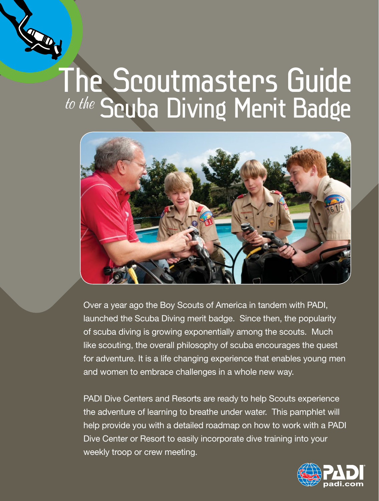

# The Scoutmasters Guide to the Scuba Diving Merit Badge



Over a year ago the Boy Scouts of America in tandem with PADI, launched the Scuba Diving merit badge. Since then, the popularity of scuba diving is growing exponentially among the scouts. Much like scouting, the overall philosophy of scuba encourages the quest for adventure. It is a life changing experience that enables young men and women to embrace challenges in a whole new way.

PADI Dive Centers and Resorts are ready to help Scouts experience the adventure of learning to breathe under water. This pamphlet will help provide you with a detailed roadmap on how to work with a PADI Dive Center or Resort to easily incorporate dive training into your weekly troop or crew meeting.

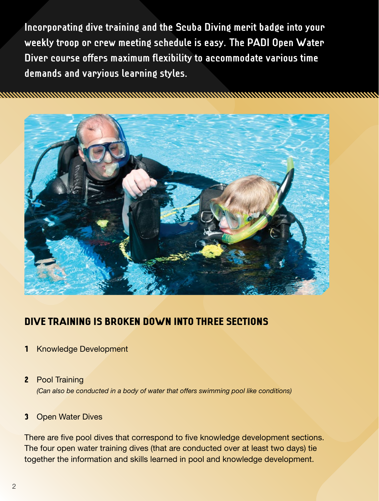**Incorporating dive training and the Scuba Diving merit badge into your weekly troop or crew meeting schedule is easy. The PADI Open Water Diver course offers maximum flexibility to accommodate various time demands and varyious learning styles.**

na manang kabupatèn di kacamatan sa Kabupatén Kabupatén Kabupatén Kabupatén Kabupatén Kabupatén Kabupatén Kabu



## Dive training is broken down into three sections

- 1 Knowledge Development
- 2 Pool Training *(Can also be conducted in a body of water that offers swimming pool like conditions)*

#### 3 Open Water Dives

There are five pool dives that correspond to five knowledge development sections. The four open water training dives (that are conducted over at least two days) tie together the information and skills learned in pool and knowledge development.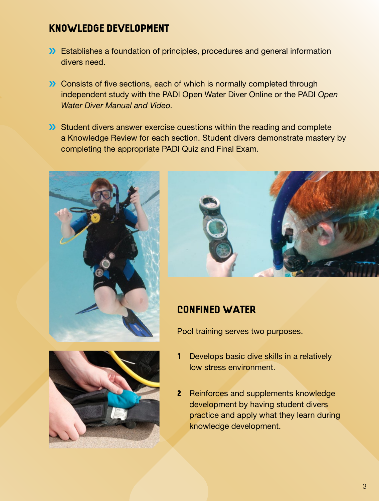## Knowledge Development

- **>>** Establishes a foundation of principles, procedures and general information divers need.
- **>>** Consists of five sections, each of which is normally completed through independent study with the PADI Open Water Diver Online or the PADI *Open Water Diver Manual and Video.*
- **>>>** Student divers answer exercise questions within the reading and complete a Knowledge Review for each section. Student divers demonstrate mastery by completing the appropriate PADI Quiz and Final Exam.





## Confined Water

Pool training serves two purposes.

- 1 Develops basic dive skills in a relatively low stress environment.
	- 2 Reinforces and supplements knowledge development by having student divers practice and apply what they learn during knowledge development.

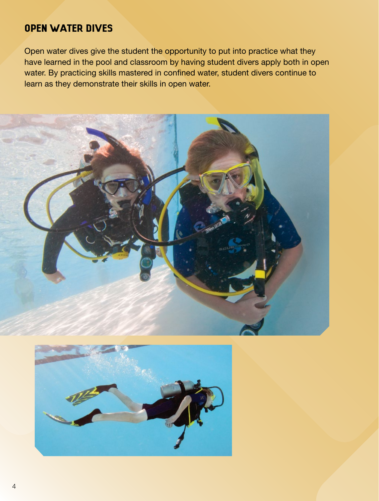## Open Water Dives

Open water dives give the student the opportunity to put into practice what they have learned in the pool and classroom by having student divers apply both in open water. By practicing skills mastered in confined water, student divers continue to learn as they demonstrate their skills in open water.



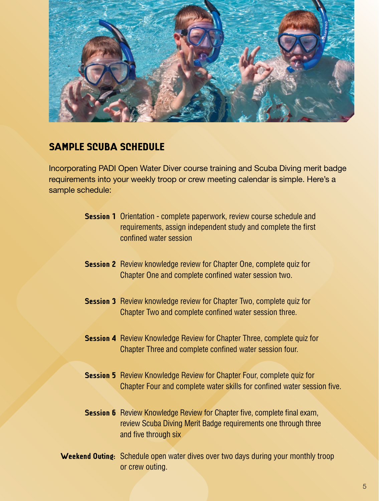

## Sample Scuba Schedule

Incorporating PADI Open Water Diver course training and Scuba Diving merit badge requirements into your weekly troop or crew meeting calendar is simple. Here's a sample schedule:

- **Session 1** Orientation complete paperwork, review course schedule and requirements, assign independent study and complete the first confined water session
- **Session 2** Review knowledge review for Chapter One, complete quiz for Chapter One and complete confined water session two.
- **Session 3** Review knowledge review for Chapter Two, complete quiz for Chapter Two and complete confined water session three.
- **Session 4** Review Knowledge Review for Chapter Three, complete quiz for Chapter Three and complete confined water session four.
- **Session 5** Review Knowledge Review for Chapter Four, complete quiz for Chapter Four and complete water skills for confined water session five.
- **Session 6** Review Knowledge Review for Chapter five, complete final exam, review Scuba Diving Merit Badge requirements one through three and five through six
- **Weekend Outing:** Schedule open water dives over two days during your monthly troop or crew outing.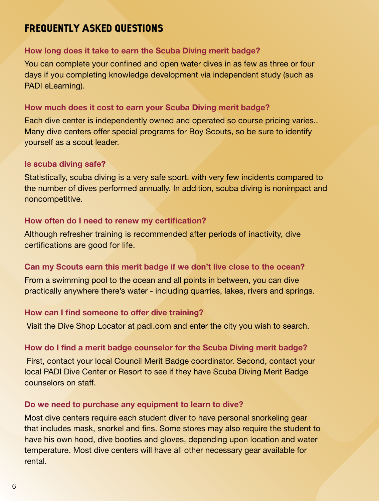## Frequently Asked Questions

#### **How long does it take to earn the Scuba Diving merit badge?**

You can complete your confined and open water dives in as few as three or four days if you completing knowledge development via independent study (such as PADI eLearning).

#### **How much does it cost to earn your Scuba Diving merit badge?**

Each dive center is independently owned and operated so course pricing varies.. Many dive centers offer special programs for Boy Scouts, so be sure to identify yourself as a scout leader.

#### **Is scuba diving safe?**

Statistically, scuba diving is a very safe sport, with very few incidents compared to the number of dives performed annually. In addition, scuba diving is nonimpact and noncompetitive.

#### **How often do I need to renew my certification?**

Although refresher training is recommended after periods of inactivity, dive certifications are good for life.

#### **Can my Scouts earn this merit badge if we don't live close to the ocean?**

From a swimming pool to the ocean and all points in between, you can dive practically anywhere there's water - including quarries, lakes, rivers and springs.

#### **How can I find someone to offer dive training?**

Visit the Dive Shop Locator at padi.com and enter the city you wish to search.

#### **How do I find a merit badge counselor for the Scuba Diving merit badge?**

 First, contact your local Council Merit Badge coordinator. Second, contact your local PADI Dive Center or Resort to see if they have Scuba Diving Merit Badge counselors on staff.

#### **Do we need to purchase any equipment to learn to dive?**

Most dive centers require each student diver to have personal snorkeling gear that includes mask, snorkel and fins. Some stores may also require the student to have his own hood, dive booties and gloves, depending upon location and water temperature. Most dive centers will have all other necessary gear available for rental.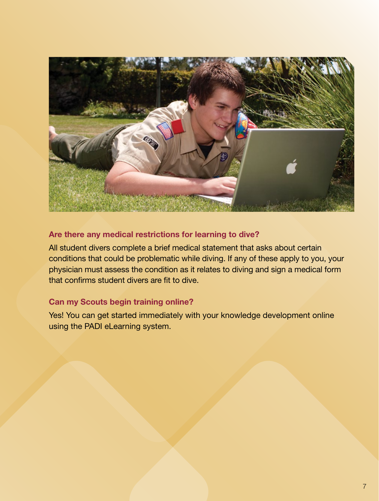

## **Are there any medical restrictions for learning to dive?**

All student divers complete a brief medical statement that asks about certain conditions that could be problematic while diving. If any of these apply to you, your physician must assess the condition as it relates to diving and sign a medical form that confirms student divers are fit to dive.

### **Can my Scouts begin training online?**

Yes! You can get started immediately with your knowledge development online using the PADI eLearning system.